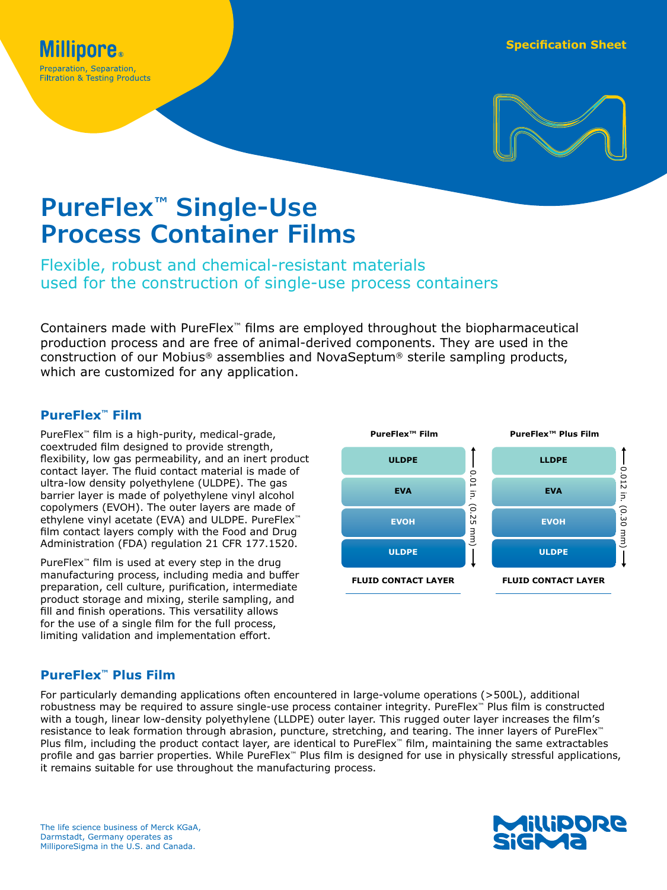

# **PureFlex™ Single-Use Process Container Films**

Flexible, robust and chemical-resistant materials used for the construction of single-use process containers

Containers made with PureFlex™ films are employed throughout the biopharmaceutical production process and are free of animal-derived components. They are used in the construction of our Mobius® assemblies and NovaSeptum® sterile sampling products, which are customized for any application.

# **PureFlex™ Film**

PureFlex™ film is a high-purity, medical-grade, coextruded film designed to provide strength, flexibility, low gas permeability, and an inert product contact layer. The fluid contact material is made of ultra-low density polyethylene (ULDPE). The gas barrier layer is made of polyethylene vinyl alcohol copolymers (EVOH). The outer layers are made of ethylene vinyl acetate (EVA) and ULDPE. PureFlex<sup>™</sup> film contact layers comply with the Food and Drug Administration (FDA) regulation 21 CFR 177.1520.

PureFlex<sup>™</sup> film is used at every step in the drug manufacturing process, including media and buffer preparation, cell culture, purification, intermediate product storage and mixing, sterile sampling, and fill and finish operations. This versatility allows for the use of a single film for the full process, limiting validation and implementation effort.



## **PureFlex™ Plus Film**

For particularly demanding applications often encountered in large-volume operations (>500L), additional robustness may be required to assure single-use process container integrity. PureFlex™ Plus film is constructed with a tough, linear low-density polyethylene (LLDPE) outer layer. This rugged outer layer increases the film's resistance to leak formation through abrasion, puncture, stretching, and tearing. The inner layers of PureFlex™ Plus film, including the product contact layer, are identical to PureFlex™ film, maintaining the same extractables profile and gas barrier properties. While PureFlex™ Plus film is designed for use in physically stressful applications, it remains suitable for use throughout the manufacturing process.